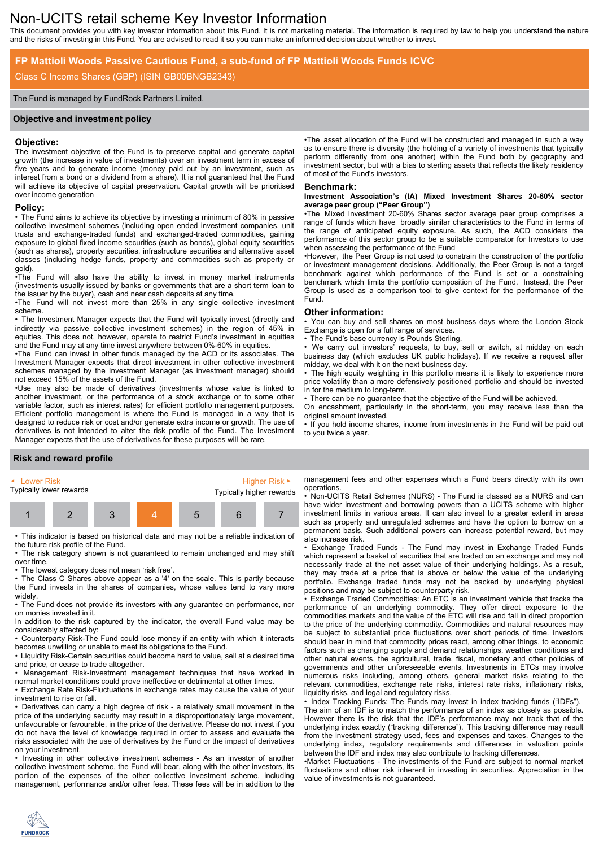# Non-UCITS retail scheme Key Investor Information

This document provides you with key investor information about this Fund. It is not marketing material. The information is required by law to help you understand the nature and the risks of investing in this Fund. You are advised to read it so you can make an informed decision about whether to invest.

# **FP Mattioli Woods Passive Cautious Fund, a sub-fund of FP Mattioli Woods Funds ICVC**

### Class C Income Shares (GBP) (ISIN GB00BNGB2343)

#### The Fund is managed by FundRock Partners Limited.

#### **Objective and investment policy**

#### **Objective:**

The investment objective of the Fund is to preserve capital and generate capital growth (the increase in value of investments) over an investment term in excess of five years and to generate income (money paid out by an investment, such as interest from a bond or a dividend from a share). It is not guaranteed that the Fund will achieve its objective of capital preservation. Capital growth will be prioritised over income generation

# **Policy:**

• The Fund aims to achieve its objective by investing a minimum of 80% in passive collective investment schemes (including open ended investment companies, unit trusts and exchange-traded funds) and exchanged-traded commodities, gaining exposure to global fixed income securities (such as bonds), global equity securities (such as shares), property securities, infrastructure securities and alternative asset classes (including hedge funds, property and commodities such as property or gold).

•The Fund will also have the ability to invest in money market instruments (investments usually issued by banks or governments that are a short term loan to the issuer by the buyer), cash and near cash deposits at any time.

•The Fund will not invest more than 25% in any single collective investment scheme.

• The Investment Manager expects that the Fund will typically invest (directly and indirectly via passive collective investment schemes) in the region of 45% in equities. This does not, however, operate to restrict Fund's investment in equities and the Fund may at any time invest anywhere between 0%-60% in equities.

•The Fund can invest in other funds managed by the ACD or its associates. The Investment Manager expects that direct investment in other collective investment schemes managed by the Investment Manager (as investment manager) should not exceed 15% of the assets of the Fund.

•Use may also be made of derivatives (investments whose value is linked to another investment, or the performance of a stock exchange or to some other variable factor, such as interest rates) for efficient portfolio management purposes. Efficient portfolio management is where the Fund is managed in a way that is designed to reduce risk or cost and/or generate extra income or growth. The use of derivatives is not intended to alter the risk profile of the Fund. The Investment Manager expects that the use of derivatives for these purposes will be rare.

•The asset allocation of the Fund will be constructed and managed in such a way as to ensure there is diversity (the holding of a variety of investments that typically perform differently from one another) within the Fund both by geography and investment sector, but with a bias to sterling assets that reflects the likely residency of most of the Fund's investors.

#### **Benchmark:**

#### **Investment Association's (IA) Mixed Investment Shares 20-60% sector average peer group ("Peer Group")**

•The Mixed Investment 20-60% Shares sector average peer group comprises a range of funds which have broadly similar characteristics to the Fund in terms of the range of anticipated equity exposure. As such, the ACD considers the performance of this sector group to be a suitable comparator for Investors to use when assessing the performance of the Fund

•However, the Peer Group is not used to constrain the construction of the portfolio or investment management decisions. Additionally, the Peer Group is not a target benchmark against which performance of the Fund is set or a constraining benchmark which limits the portfolio composition of the Fund. Instead, the Peer Group is used as a comparison tool to give context for the performance of the Fund.

#### **Other information:**

• You can buy and sell shares on most business days where the London Stock Exchange is open for a full range of services.

The Fund's base currency is Pounds Sterling.

We carry out investors' requests, to buy, sell or switch, at midday on each business day (which excludes UK public holidays). If we receive a request after midday, we deal with it on the next business day.

The high equity weighting in this portfolio means it is likely to experience more price volatility than a more defensively positioned portfolio and should be invested in for the medium to long-term.

• There can be no guarantee that the objective of the Fund will be achieved.

On encashment, particularly in the short-term, you may receive less than the original amount invested.

• If you hold income shares, income from investments in the Fund will be paid out to you twice a year.

# **Risk and reward profile**



• This indicator is based on historical data and may not be a reliable indication of the future risk profile of the Fund.

• The risk category shown is not guaranteed to remain unchanged and may shift over time.

• The lowest category does not mean 'risk free'.

• The Class C Shares above appear as a '4' on the scale. This is partly because the Fund invests in the shares of companies, whose values tend to vary more widely.

• The Fund does not provide its investors with any guarantee on performance, nor on monies invested in it.

In addition to the risk captured by the indicator, the overall Fund value may be considerably affected by:

• Counterparty Risk-The Fund could lose money if an entity with which it interacts becomes unwilling or unable to meet its obligations to the Fund.

• Liquidity Risk-Certain securities could become hard to value, sell at a desired time and price, or cease to trade altogether.

• Management Risk-Investment management techniques that have worked in normal market conditions could prove ineffective or detrimental at other times.

• Exchange Rate Risk-Fluctuations in exchange rates may cause the value of your investment to rise or fall.

• Derivatives can carry a high degree of risk - a relatively small movement in the price of the underlying security may result in a disproportionately large movement, unfavourable or favourable, in the price of the derivative. Please do not invest if you do not have the level of knowledge required in order to assess and evaluate the risks associated with the use of derivatives by the Fund or the impact of derivatives on your investment.

• Investing in other collective investment schemes - As an investor of another collective investment scheme, the Fund will bear, along with the other investors, its portion of the expenses of the other collective investment scheme, including management, performance and/or other fees. These fees will be in addition to the

management fees and other expenses which a Fund bears directly with its own operations.

• Non-UCITS Retail Schemes (NURS) - The Fund is classed as a NURS and can have wider investment and borrowing powers than a UCITS scheme with higher investment limits in various areas. It can also invest to a greater extent in areas such as property and unregulated schemes and have the option to borrow on a permanent basis. Such additional powers can increase potential reward, but may also increase risk.

• Exchange Traded Funds - The Fund may invest in Exchange Traded Funds which represent a basket of securities that are traded on an exchange and may not necessarily trade at the net asset value of their underlying holdings. As a result, they may trade at a price that is above or below the value of the underlying portfolio. Exchange traded funds may not be backed by underlying physical positions and may be subject to counterparty risk.

• Exchange Traded Commodities: An ETC is an investment vehicle that tracks the performance of an underlying commodity. They offer direct exposure to the commodities markets and the value of the ETC will rise and fall in direct proportion to the price of the underlying commodity. Commodities and natural resources may be subject to substantial price fluctuations over short periods of time. Investors should bear in mind that commodity prices react, among other things, to economic factors such as changing supply and demand relationships, weather conditions and other natural events, the agricultural, trade, fiscal, monetary and other policies of governments and other unforeseeable events. Investments in ETCs may involve numerous risks including, among others, general market risks relating to the relevant commodities, exchange rate risks, interest rate risks, inflationary risks, liquidity risks, and legal and regulatory risks.

• Index Tracking Funds: The Funds may invest in index tracking funds ("IDFs"). The aim of an IDF is to match the performance of an index as closely as possible. However there is the risk that the IDF's performance may not track that of the underlying index exactly ("tracking difference"). This tracking difference may result from the investment strategy used, fees and expenses and taxes. Changes to the underlying index, regulatory requirements and differences in valuation points between the IDF and index may also contribute to tracking differences.

•Market Fluctuations - The investments of the Fund are subject to normal market fluctuations and other risk inherent in investing in securities. Appreciation in the value of investments is not guaranteed.